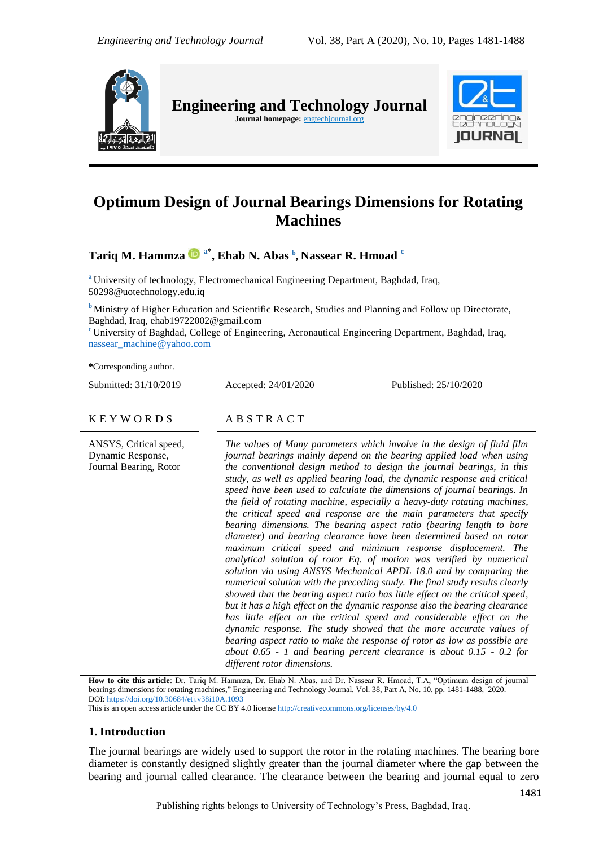

**Engineering and Technology Journal** 

Journal homepage: **engtechjournal.org** 



# **Optimum Design of Journal Bearings Dimensions for Rotating Machines**

**Tariq M. Hammza a\* , Ehab N. Abas <sup>b</sup> , Nassear R. Hmoad <sup>c</sup>**

**<sup>a</sup>** University of technology, Electromechanical Engineering Department, Baghdad, Iraq, 50298@uotechnology.edu.iq

**b** Ministry of Higher Education and Scientific Research, Studies and Planning and Follow up Directorate, Baghdad, Iraq, ehab19722002@gmail.com

**<sup>c</sup>** University of Baghdad, College of Engineering, Aeronautical Engineering Department, Baghdad, Iraq, [nassear\\_machine@yahoo.com](mailto:nassear_machine@yahoo.com)

**\***Corresponding author.

Submitted: 31/10/2019 Accepted: 24/01/2020 Published: 25/10/2020

#### $K E Y W O R D S$   $AB S T R A C T$

ANSYS, Critical speed, Dynamic Response, Journal Bearing, Rotor *The values of Many parameters which involve in the design of fluid film journal bearings mainly depend on the bearing applied load when using the conventional design method to design the journal bearings, in this study, as well as applied bearing load, the dynamic response and critical speed have been used to calculate the dimensions of journal bearings. In the field of rotating machine, especially a heavy-duty rotating machines, the critical speed and response are the main parameters that specify bearing dimensions. The bearing aspect ratio (bearing length to bore diameter) and bearing clearance have been determined based on rotor maximum critical speed and minimum response displacement. The analytical solution of rotor Eq. of motion was verified by numerical solution via using ANSYS Mechanical APDL 18.0 and by comparing the numerical solution with the preceding study. The final study results clearly showed that the bearing aspect ratio has little effect on the critical speed, but it has a high effect on the dynamic response also the bearing clearance has little effect on the critical speed and considerable effect on the dynamic response. The study showed that the more accurate values of bearing aspect ratio to make the response of rotor as low as possible are about 0.65 - 1 and bearing percent clearance is about 0.15 - 0.2 for different rotor dimensions.*

**How to cite this article**: Dr. Tariq M. Hammza, Dr. Ehab N. Abas, and Dr. Nassear R. Hmoad, T.A, "Optimum design of journal bearings dimensions for rotating machines," Engineering and Technology Journal, Vol. 38, Part A, No. 10, pp. 1481-1488, 2020. DOI: <https://doi.org/10.30684/etj.v38i10A.1093>

This is an open access article under the CC BY 4.0 licens[e http://creativecommons.org/licenses/by/4.0](http://creativecommons.org/licenses/by/4.0)

## **1.Introduction**

The journal bearings are widely used to support the rotor in the rotating machines. The bearing bore diameter is constantly designed slightly greater than the journal diameter where the gap between the bearing and journal called clearance. The clearance between the bearing and journal equal to zero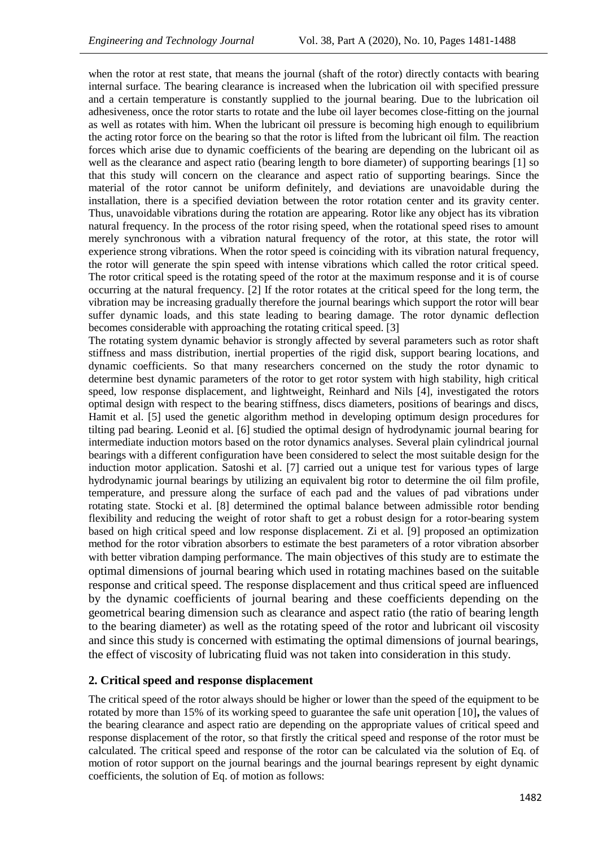when the rotor at rest state, that means the journal (shaft of the rotor) directly contacts with bearing internal surface. The bearing clearance is increased when the lubrication oil with specified pressure and a certain temperature is constantly supplied to the journal bearing. Due to the lubrication oil adhesiveness, once the rotor starts to rotate and the lube oil layer becomes close-fitting on the journal as well as rotates with him. When the lubricant oil pressure is becoming high enough to equilibrium the acting rotor force on the bearing so that the rotor is lifted from the lubricant oil film. The reaction forces which arise due to dynamic coefficients of the bearing are depending on the lubricant oil as well as the clearance and aspect ratio (bearing length to bore diameter) of supporting bearings [1] so that this study will concern on the clearance and aspect ratio of supporting bearings. Since the material of the rotor cannot be uniform definitely, and deviations are unavoidable during the installation, there is a specified deviation between the rotor rotation center and its gravity center. Thus, unavoidable vibrations during the rotation are appearing. Rotor like any object has its vibration natural frequency. In the process of the rotor rising speed, when the rotational speed rises to amount merely synchronous with a vibration natural frequency of the rotor, at this state, the rotor will experience strong vibrations. When the rotor speed is coinciding with its vibration natural frequency, the rotor will generate the spin speed with intense vibrations which called the rotor critical speed. The rotor critical speed is the rotating speed of the rotor at the maximum response and it is of course occurring at the natural frequency. [2] If the rotor rotates at the critical speed for the long term, the vibration may be increasing gradually therefore the journal bearings which support the rotor will bear suffer dynamic loads, and this state leading to bearing damage. The rotor dynamic deflection becomes considerable with approaching the rotating critical speed. [3]

The rotating system dynamic behavior is strongly affected by several parameters such as rotor shaft stiffness and mass distribution, inertial properties of the rigid disk, support bearing locations, and dynamic coefficients. So that many researchers concerned on the study the rotor dynamic to determine best dynamic parameters of the rotor to get rotor system with high stability, high critical speed, low response displacement, and lightweight, Reinhard and Nils [4], investigated the rotors optimal design with respect to the bearing stiffness, discs diameters, positions of bearings and discs, Hamit et al. [5] used the genetic algorithm method in developing optimum design procedures for tilting pad bearing. Leonid et al. [6] studied the optimal design of hydrodynamic journal bearing for intermediate induction motors based on the rotor dynamics analyses. Several plain cylindrical journal bearings with a different configuration have been considered to select the most suitable design for the induction motor application. Satoshi et al. [7] carried out a unique test for various types of large hydrodynamic journal bearings by utilizing an equivalent big rotor to determine the oil film profile, temperature, and pressure along the surface of each pad and the values of pad vibrations under rotating state. [Stocki](https://www.sciencedirect.com/science/article/pii/S0888327011003128#!) et al. [8] determined the optimal balance between admissible rotor bending flexibility and reducing the weight of rotor shaft to get a robust design for a rotor-bearing system based on high critical speed and low response displacement. Zi et al. [9] proposed an optimization method for the rotor vibration absorbers to estimate the best parameters of a rotor vibration absorber with better vibration damping performance. The main objectives of this study are to estimate the optimal dimensions of journal bearing which used in rotating machines based on the suitable response and critical speed. The response displacement and thus critical speed are influenced by the dynamic coefficients of journal bearing and these coefficients depending on the geometrical bearing dimension such as clearance and aspect ratio (the ratio of bearing length to the bearing diameter) as well as the rotating speed of the rotor and lubricant oil viscosity and since this study is concerned with estimating the optimal dimensions of journal bearings, the effect of viscosity of lubricating fluid was not taken into consideration in this study.

### **2. Critical speed and response displacement**

The critical speed of the rotor always should be higher or lower than the speed of the equipment to be rotated by more than 15% of its working speed to guarantee the safe unit operation [10]**,** the values of the bearing clearance and aspect ratio are depending on the appropriate values of critical speed and response displacement of the rotor, so that firstly the critical speed and response of the rotor must be calculated. The critical speed and response of the rotor can be calculated via the solution of Eq. of motion of rotor support on the journal bearings and the journal bearings represent by eight dynamic coefficients, the solution of Eq. of motion as follows: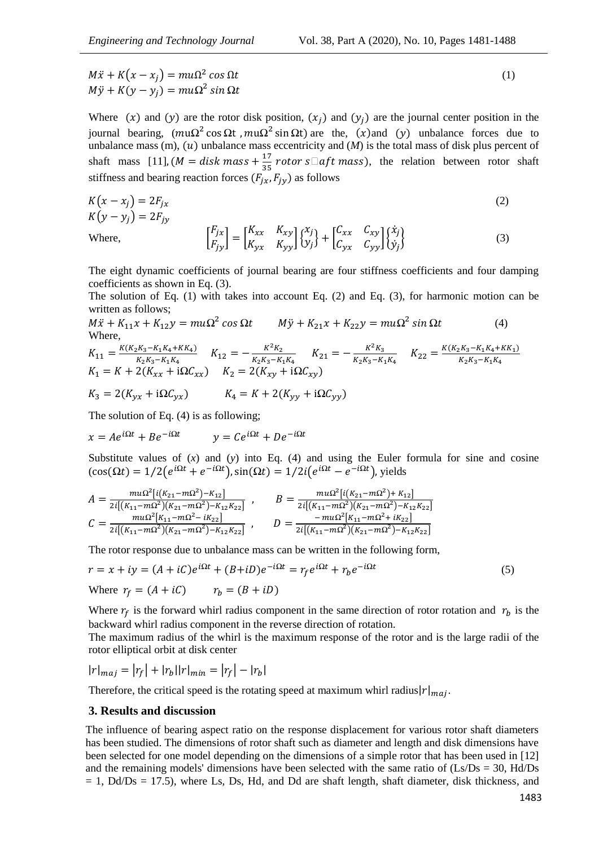$M\ddot{x} + K(x - x_i) = mu\Omega^2$  $\cos \Omega t$  (1)  $M\ddot{y} + K(y - y_i) = mu\Omega^2 s$ 

Where  $(x)$  and  $(y)$  are the rotor disk position,  $(x_i)$  and  $(y_i)$  are the journal center position in the journal bearing,  $(mu\Omega^2 \cos \Omega t, mu\Omega^2 \sin \Omega t)$  are the,  $(x)$  and  $(y)$  unbalance forces due to unbalance mass (m),  $(u)$  unbalance mass eccentricity and  $(M)$  is the total mass of disk plus percent of shaft mass [11],  $(M = disk \, mass + \frac{1}{2})$  $\frac{17}{35}$  rotor s $\Box$ aft mass), the relation between rotor shaft stiffness and bearing reaction forces  $(F_{ix}, F_{iy})$  as follows

$$
K(x - x_j) = 2F_{jx}
$$
  
\n
$$
K(y - y_j) = 2F_{jy}
$$
  
\nWhere,  
\n
$$
\begin{bmatrix} F_{jx} \\ F_{jy} \end{bmatrix} = \begin{bmatrix} K_{xx} & K_{xy} \\ K_{yx} & K_{yy} \end{bmatrix} \begin{bmatrix} x_j \\ y_j \end{bmatrix} + \begin{bmatrix} C_{xx} & C_{xy} \\ C_{yx} & C_{yy} \end{bmatrix} \begin{bmatrix} \dot{x}_j \\ \dot{y}_j \end{bmatrix}
$$
\n(3)

The eight dynamic coefficients of journal bearing are four stiffness coefficients and four damping coefficients as shown in Eq. (3).

The solution of Eq. (1) with takes into account Eq. (2) and Eq. (3), for harmonic motion can be written as follows;

$$
M\ddot{x} + K_{11}x + K_{12}y = mu\Omega^2 \cos \Omega t \qquad M\ddot{y} + K_{21}x + K_{22}y = mu\Omega^2 \sin \Omega t \tag{4}
$$
  
Where,

$$
K_{11} = \frac{K(K_2K_3 - K_1K_4 + KK_4)}{K_2K_3 - K_1K_4} \quad K_{12} = -\frac{K^2K_2}{K_2K_3 - K_1K_4} \quad K_{21} = -\frac{K^2K_3}{K_2K_3 - K_1K_4} \quad K_{22} = \frac{K(K_2K_3 - K_1K_4 + KK_1)}{K_2K_3 - K_1K_4}
$$
\n
$$
K_1 = K + 2(K_{xx} + i\Omega C_{xx}) \quad K_2 = 2(K_{xy} + i\Omega C_{xy})
$$
\n
$$
K_3 = 2(K_{yx} + i\Omega C_{yx}) \quad K_4 = K + 2(K_{yy} + i\Omega C_{yy})
$$

The solution of Eq. (4) is as following;

$$
x = Ae^{i\Omega t} + Be^{-i\Omega t} \qquad y = Ce^{i\Omega t} + De^{-i\Omega t}
$$

Substitute values of  $(x)$  and  $(y)$  into Eq.  $(4)$  and using the Euler formula for sine and cosine  $(\cos(\Omega t) = 1/2(e^{i\Omega t} + e^{-i\Omega t}), \sin(\Omega t) = 1/2i(e^{i\Omega t} - e^{-i\Omega t}),$  yields

$$
A = \frac{m u \Omega^{2} [i(K_{21} - m \Omega^{2}) - K_{12}]}{2i [(K_{11} - m \Omega^{2}) (K_{21} - m \Omega^{2}) - K_{12} K_{22}]} ,\qquad B = \frac{m u \Omega^{2} [i(K_{21} - m \Omega^{2}) + K_{12}]}{2i [(K_{11} - m \Omega^{2}) (K_{21} - m \Omega^{2}) - K_{12} K_{22}]} \nC = \frac{m u \Omega^{2} [K_{11} - m \Omega^{2} - iK_{22}]}{2i [(K_{11} - m \Omega^{2}) (K_{21} - m \Omega^{2}) - K_{12} K_{22}]} ,\qquad D = \frac{-m u \Omega^{2} [K_{11} - m \Omega^{2} + iK_{22}]}{2i [(K_{11} - m \Omega^{2}) (K_{21} - m \Omega^{2}) - K_{12} K_{22}]}.
$$

The rotor response due to unbalance mass can be written in the following form,

$$
r = x + iy = (A + iC)e^{i\Omega t} + (B + iD)e^{-i\Omega t} = r_f e^{i\Omega t} + r_b e^{-i\Omega t}
$$
  
Where  $r_f = (A + iC)$   $r_b = (B + iD)$  (5)

Where  $r_f$  is the forward whirl radius component in the same direction of rotor rotation and  $r_b$  is the backward whirl radius component in the reverse direction of rotation.

The maximum radius of the whirl is the maximum response of the rotor and is the large radii of the rotor elliptical orbit at disk center

 $|r|_{maj} = |r_f| + |r_b||r|_{min} = |r_f| - |r_b|$ 

Therefore, the critical speed is the rotating speed at maximum whirl radius $|r|_{maj}$ .

#### **3. Results and discussion**

The influence of bearing aspect ratio on the response displacement for various rotor shaft diameters has been studied. The dimensions of rotor shaft such as diameter and length and disk dimensions have been selected for one model depending on the dimensions of a simple rotor that has been used in [12] and the remaining models' dimensions have been selected with the same ratio of  $(Ls/Ds = 30, Hd/Ds$  $= 1$ , Dd/Ds  $= 17.5$ ), where Ls, Ds, Hd, and Dd are shaft length, shaft diameter, disk thickness, and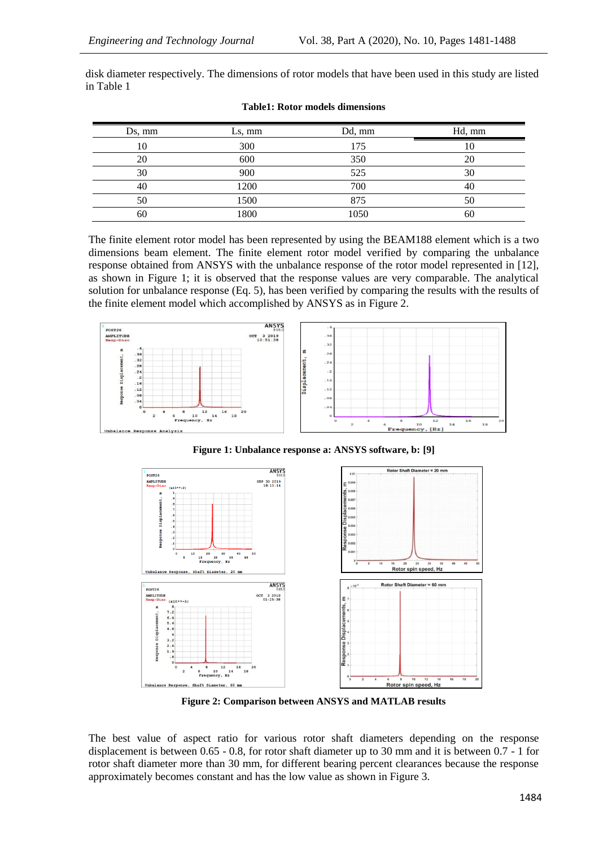disk diameter respectively. The dimensions of rotor models that have been used in this study are listed in Table 1

| Ds, mm | Ls, mm | Dd, mm | Hd, mm |
|--------|--------|--------|--------|
| 10     | 300    | 175    | 10     |
| 20     | 600    | 350    | 20     |
| 30     | 900    | 525    | 30     |
| 40     | 1200   | 700    | 40     |
| 50     | 1500   | 875    | 50     |
| 60     | 1800   | 1050   | 60     |

|  | <b>Table1: Rotor models dimensions</b> |
|--|----------------------------------------|
|  |                                        |

The finite element rotor model has been represented by using the BEAM188 element which is a two dimensions beam element. The finite element rotor model verified by comparing the unbalance response obtained from ANSYS with the unbalance response of the rotor model represented in [12], as shown in Figure 1; it is observed that the response values are very comparable. The analytical solution for unbalance response (Eq. 5), has been verified by comparing the results with the results of the finite element model which accomplished by ANSYS as in Figure 2.



**Figure 1: Unbalance response a: ANSYS software, b: [9]**



**Figure 2: Comparison between ANSYS and MATLAB results**

The best value of aspect ratio for various rotor shaft diameters depending on the response displacement is between 0.65 - 0.8, for rotor shaft diameter up to 30 mm and it is between 0.7 - 1 for rotor shaft diameter more than 30 mm, for different bearing percent clearances because the response approximately becomes constant and has the low value as shown in Figure 3.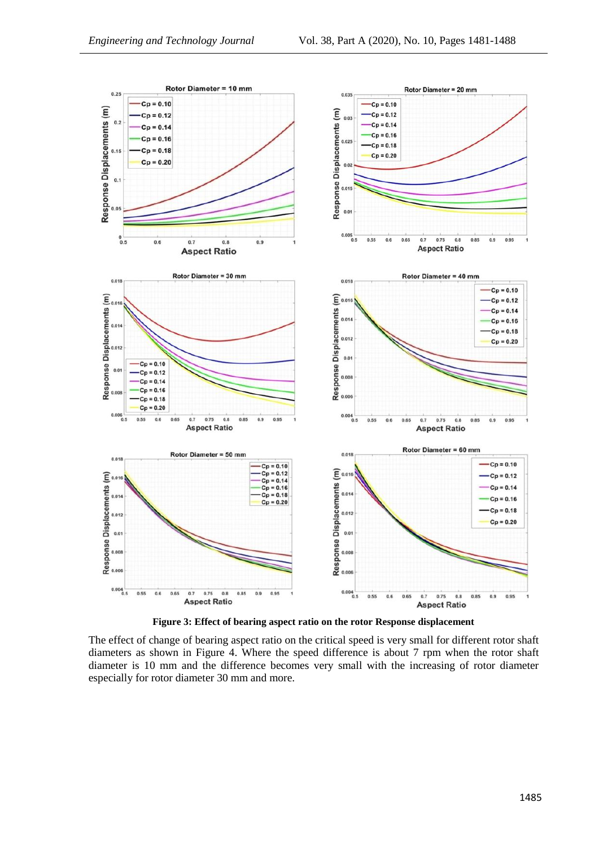

**Figure 3: Effect of bearing aspect ratio on the rotor Response displacement**

The effect of change of bearing aspect ratio on the critical speed is very small for different rotor shaft diameters as shown in Figure 4. Where the speed difference is about 7 rpm when the rotor shaft diameter is 10 mm and the difference becomes very small with the increasing of rotor diameter especially for rotor diameter 30 mm and more.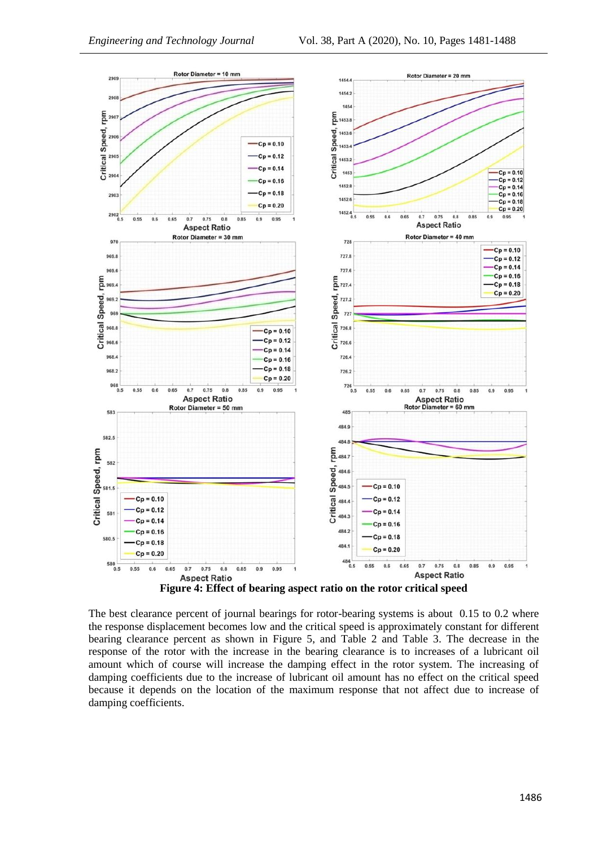

The best clearance percent of journal bearings for rotor-bearing systems is about 0.15 to 0.2 where the response displacement becomes low and the critical speed is approximately constant for different bearing clearance percent as shown in Figure 5, and Table 2 and Table 3. The decrease in the response of the rotor with the increase in the bearing clearance is to increases of a lubricant oil amount which of course will increase the damping effect in the rotor system. The increasing of damping coefficients due to the increase of lubricant oil amount has no effect on the critical speed because it depends on the location of the maximum response that not affect due to increase of damping coefficients.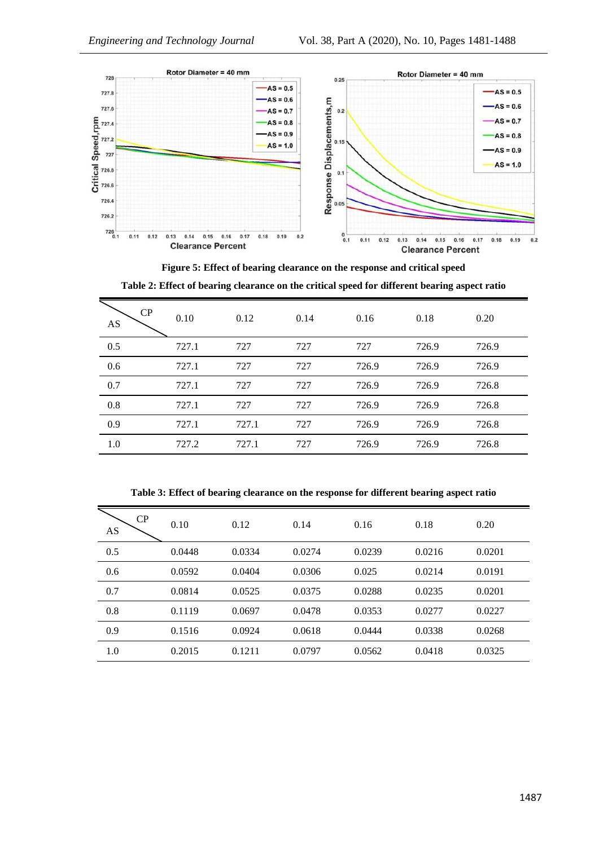

**Figure 5: Effect of bearing clearance on the response and critical speed Table 2: Effect of bearing clearance on the critical speed for different bearing aspect ratio**

| CP<br>AS | 0.10  | 0.12  | 0.14 | 0.16  | 0.18  | 0.20  |
|----------|-------|-------|------|-------|-------|-------|
| 0.5      | 727.1 | 727   | 727  | 727   | 726.9 | 726.9 |
| 0.6      | 727.1 | 727   | 727  | 726.9 | 726.9 | 726.9 |
| 0.7      | 727.1 | 727   | 727  | 726.9 | 726.9 | 726.8 |
| 0.8      | 727.1 | 727   | 727  | 726.9 | 726.9 | 726.8 |
| 0.9      | 727.1 | 727.1 | 727  | 726.9 | 726.9 | 726.8 |
| 1.0      | 727.2 | 727.1 | 727  | 726.9 | 726.9 | 726.8 |

**Table 3: Effect of bearing clearance on the response for different bearing aspect ratio**

| CP<br>AS | 0.10   | 0.12   | 0.14   | 0.16   | 0.18   | 0.20   |
|----------|--------|--------|--------|--------|--------|--------|
| 0.5      | 0.0448 | 0.0334 | 0.0274 | 0.0239 | 0.0216 | 0.0201 |
| 0.6      | 0.0592 | 0.0404 | 0.0306 | 0.025  | 0.0214 | 0.0191 |
| 0.7      | 0.0814 | 0.0525 | 0.0375 | 0.0288 | 0.0235 | 0.0201 |
| 0.8      | 0.1119 | 0.0697 | 0.0478 | 0.0353 | 0.0277 | 0.0227 |
| 0.9      | 0.1516 | 0.0924 | 0.0618 | 0.0444 | 0.0338 | 0.0268 |
| 1.0      | 0.2015 | 0.1211 | 0.0797 | 0.0562 | 0.0418 | 0.0325 |